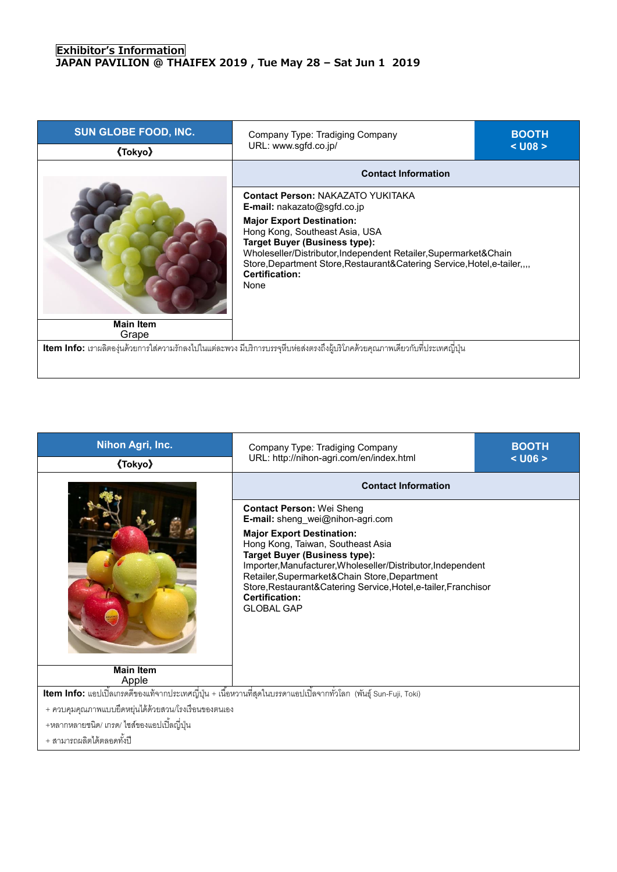## **Exhibitor's Information JAPAN PAVILION @ THAIFEX 2019 , Tue May 28 – Sat Jun 1 2019**

| SUN GLOBE FOOD, INC.<br><b><i><u>(Tokyo)</u></i></b> | Company Type: Tradiging Company<br>URL: www.sgfd.co.jp/                                                                                                                                                              | <b>BOOTH</b><br>$<$ U08 $>$ |  |
|------------------------------------------------------|----------------------------------------------------------------------------------------------------------------------------------------------------------------------------------------------------------------------|-----------------------------|--|
|                                                      | <b>Contact Information</b>                                                                                                                                                                                           |                             |  |
|                                                      | <b>Contact Person: NAKAZATO YUKITAKA</b><br><b>E-mail:</b> nakazato@sgfd.co.jp<br><b>Major Export Destination:</b><br>Hong Kong, Southeast Asia, USA                                                                 |                             |  |
|                                                      | <b>Target Buyer (Business type):</b><br>Wholeseller/Distributor, Independent Retailer, Supermarket&Chain<br>Store, Department Store, Restaurant& Catering Service, Hotel, e-tailer,<br><b>Certification:</b><br>None |                             |  |
| <b>Main Item</b><br>Grape                            |                                                                                                                                                                                                                      |                             |  |
|                                                      | Item Info: เราผลิตองุ่นด้วยการใส่ความรักลงไปในแต่ละพวง มีบริการบรรจุหีบห่อส่งตรงถึงผู้บริโภคด้วยคุณภาพเดียวกับที่ประเทศญี่ปุ่น                                                                                       |                             |  |

| Nihon Agri, Inc.                                                                                                                | Company Type: Tradiging Company<br>URL: http://nihon-agri.com/en/index.html                                                                                                                                                                                                                                                                      | <b>BOOTH</b><br>$<$ U06 $>$ |  |
|---------------------------------------------------------------------------------------------------------------------------------|--------------------------------------------------------------------------------------------------------------------------------------------------------------------------------------------------------------------------------------------------------------------------------------------------------------------------------------------------|-----------------------------|--|
| <b>《Tokyo》</b>                                                                                                                  |                                                                                                                                                                                                                                                                                                                                                  |                             |  |
|                                                                                                                                 | <b>Contact Information</b>                                                                                                                                                                                                                                                                                                                       |                             |  |
|                                                                                                                                 | <b>Contact Person: Wei Sheng</b><br>E-mail: sheng_wei@nihon-agri.com                                                                                                                                                                                                                                                                             |                             |  |
|                                                                                                                                 | <b>Major Export Destination:</b><br>Hong Kong, Taiwan, Southeast Asia<br><b>Target Buyer (Business type):</b><br>Importer, Manufacturer, Wholeseller/Distributor, Independent<br>Retailer, Supermarket&Chain Store, Department<br>Store, Restaurant& Catering Service, Hotel, e-tailer, Franchisor<br><b>Certification:</b><br><b>GLOBAL GAP</b> |                             |  |
| <b>Main Item</b>                                                                                                                |                                                                                                                                                                                                                                                                                                                                                  |                             |  |
| Apple                                                                                                                           |                                                                                                                                                                                                                                                                                                                                                  |                             |  |
| <mark>Item Info:</mark> แอปเปิ้ลเกรดดีของแท้จากประเทศญี่ปุ่น + เนื้อหวานที่สุดในบรรดาแอปเปิ้ลจากทั่วโลก (พันธุ์ Sun-Fuji, Toki) |                                                                                                                                                                                                                                                                                                                                                  |                             |  |
| + ควบคุมคุณภาพแบบยืดหยุ่นได้ด้วยสวน/โรงเรือนของตนเอง                                                                            |                                                                                                                                                                                                                                                                                                                                                  |                             |  |
| +หลากหลายชนิด/ เกรด/ ไซส์ของแอปเปิ้ลญี่ปุ่น                                                                                     |                                                                                                                                                                                                                                                                                                                                                  |                             |  |

+ สามารถผลิตได้ตลอดทั้งปี